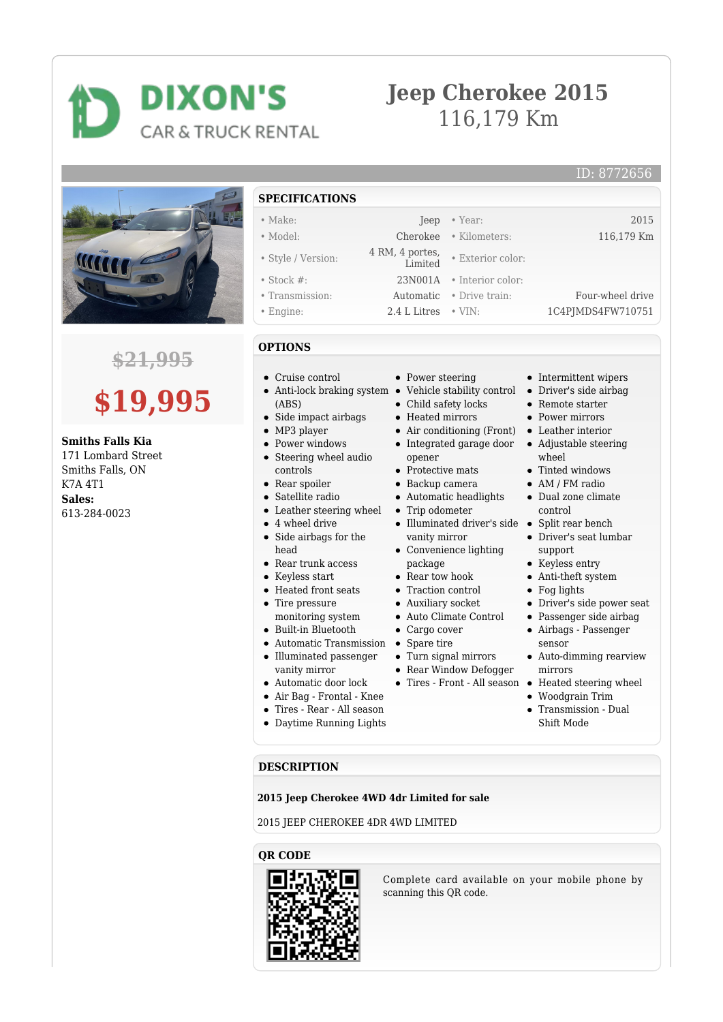## **DIXON'S** CAR & TRUCK RENTAL

## **Jeep Cherokee 2015** 116,179 Km

• Exterior color:



### **\$21,995**

# **\$19,995**

#### **Smiths Falls Kia**

171 Lombard Street Smiths Falls, ON K7A 4T1 **Sales:** 613-284-0023

- **SPECIFICATIONS** • Make: Jeep • Year: 2015 • Model: Cherokee • Kilometers: 116,179 Km • Style / Version: 4 RM, 4 portes,
- 
- Stock #: 23N001A Interior color:
- 
- 

#### **OPTIONS**

- Cruise control
- Anti-lock braking system  $\bullet$ (ABS)
- $\bullet$  Side impact airbags
- MP3 player
- Power windows
- Steering wheel audio controls
- Rear spoiler
- Satellite radio
- Leather steering wheel  $\bullet$
- 4 wheel drive
- Side airbags for the head
- Rear trunk access
- Keyless start
- Heated front seats
- Tire pressure monitoring system
- Built-in Bluetooth
- 
- Automatic Transmission Spare tire
- Illuminated passenger vanity mirror
- $\bullet~$  Automatic door lock
- Air Bag Frontal Knee
- Tires Rear All season
- Daytime Running Lights
- Power steering
- 
- Child safety locks Heated mirrors
- 
- 
- opener
- Protective mats
- Backup camera
- Automatic headlights
- Trip odometer
- Illuminated driver's side Split rear bench vanity mirror
- Convenience lighting package
- Rear tow hook
- Traction control
- Auxiliary socket
- Auto Climate Control
- Cargo cover
- 
- Turn signal mirrors
- Rear Window Defogger
	- Tires Front All season Heated steering wheel
- sensor
- -
	-
	- Shift Mode

#### **DESCRIPTION**

#### **2015 Jeep Cherokee 4WD 4dr Limited for sale**

2015 JEEP CHEROKEE 4DR 4WD LIMITED

#### **QR CODE**



Complete card available on your mobile phone by scanning this QR code.

- Intermittent wipers
- Vehicle stability control Driver's side airbag
	- Remote starter
	- Power mirrors
- Air conditioning (Front) Leather interior
- Integrated garage door Adjustable steering wheel
	- Tinted windows
	- AM / FM radio
	- Dual zone climate control
	-
	- Driver's seat lumbar support
	- Keyless entry
	- Anti-theft system
	- Fog lights
	- Driver's side power seat
	- Passenger side airbag
	- Airbags Passenger
	- Auto-dimming rearview mirrors
		-
	- Woodgrain Trim
	- Transmission Dual

• Transmission: Automatic • Drive train: Four-wheel drive • Engine: 2.4 L Litres • VIN: 1C4PIMDS4FW710751

ID: 8772656